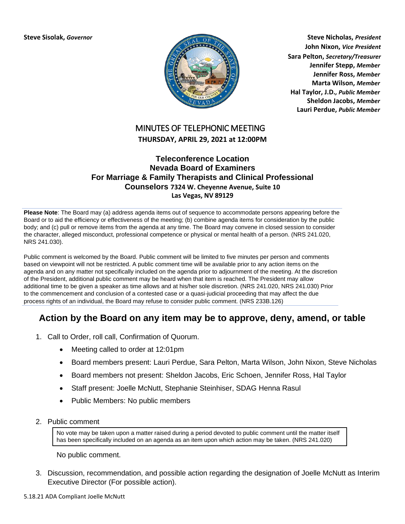

**Steve Sisolak,** *Governor* **Steve Nicholas,** *President* **John Nixon,** *Vice President* **Sara Pelton,** *Secretary/Treasurer* **Jennifer Stepp,** *Member* **Jennifer Ross,** *Member* **Marta Wilson,** *Member* **Hal Taylor, J.D.***, Public Member* **Sheldon Jacobs,** *Member* **Lauri Perdue,** *Public Member*

## MINUTES OF TELEPHONIC MEETING **THURSDAY, APRIL 29, 2021 at 12:00PM**

## **Teleconference Location Nevada Board of Examiners For Marriage & Family Therapists and Clinical Professional Counselors 7324 W. Cheyenne Avenue, Suite 10 Las Vegas, NV 89129**

**Please Note**: The Board may (a) address agenda items out of sequence to accommodate persons appearing before the Board or to aid the efficiency or effectiveness of the meeting; (b) combine agenda items for consideration by the public body; and (c) pull or remove items from the agenda at any time. The Board may convene in closed session to consider the character, alleged misconduct, professional competence or physical or mental health of a person. (NRS 241.020, NRS 241.030).

Public comment is welcomed by the Board. Public comment will be limited to five minutes per person and comments based on viewpoint will not be restricted. A public comment time will be available prior to any action items on the agenda and on any matter not specifically included on the agenda prior to adjournment of the meeting. At the discretion of the President, additional public comment may be heard when that item is reached. The President may allow additional time to be given a speaker as time allows and at his/her sole discretion. (NRS 241.020, NRS 241.030) Prior to the commencement and conclusion of a contested case or a quasi-judicial proceeding that may affect the due process rights of an individual, the Board may refuse to consider public comment. (NRS 233B.126)

## **Action by the Board on any item may be to approve, deny, amend, or table**

- 1. Call to Order, roll call, Confirmation of Quorum.
	- Meeting called to order at 12:01pm
	- Board members present: Lauri Perdue, Sara Pelton, Marta Wilson, John Nixon, Steve Nicholas
	- Board members not present: Sheldon Jacobs, Eric Schoen, Jennifer Ross, Hal Taylor
	- Staff present: Joelle McNutt, Stephanie Steinhiser, SDAG Henna Rasul
	- Public Members: No public members
- 2. Public comment

No vote may be taken upon a matter raised during a period devoted to public comment until the matter itself has been specifically included on an agenda as an item upon which action may be taken. (NRS 241.020)

No public comment.

3. Discussion, recommendation, and possible action regarding the designation of Joelle McNutt as Interim Executive Director (For possible action).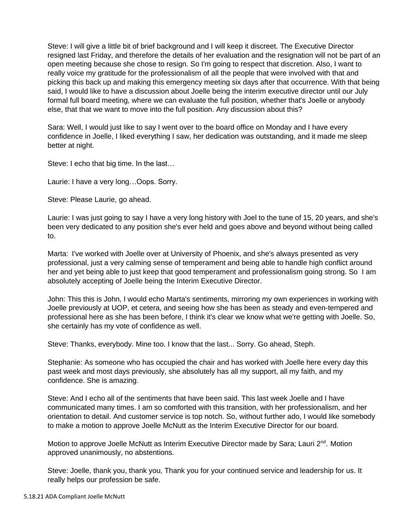Steve: I will give a little bit of brief background and I will keep it discreet. The Executive Director resigned last Friday, and therefore the details of her evaluation and the resignation will not be part of an open meeting because she chose to resign. So I'm going to respect that discretion. Also, I want to really voice my gratitude for the professionalism of all the people that were involved with that and picking this back up and making this emergency meeting six days after that occurrence. With that being said, I would like to have a discussion about Joelle being the interim executive director until our July formal full board meeting, where we can evaluate the full position, whether that's Joelle or anybody else, that that we want to move into the full position. Any discussion about this?

Sara: Well, I would just like to say I went over to the board office on Monday and I have every confidence in Joelle, I liked everything I saw, her dedication was outstanding, and it made me sleep better at night.

Steve: I echo that big time. In the last…

Laurie: I have a very long…Oops. Sorry.

Steve: Please Laurie, go ahead.

Laurie: I was just going to say I have a very long history with Joel to the tune of 15, 20 years, and she's been very dedicated to any position she's ever held and goes above and beyond without being called to.

Marta: I've worked with Joelle over at University of Phoenix, and she's always presented as very professional, just a very calming sense of temperament and being able to handle high conflict around her and yet being able to just keep that good temperament and professionalism going strong. So I am absolutely accepting of Joelle being the Interim Executive Director.

John: This this is John, I would echo Marta's sentiments, mirroring my own experiences in working with Joelle previously at UOP, et cetera, and seeing how she has been as steady and even-tempered and professional here as she has been before, I think it's clear we know what we're getting with Joelle. So, she certainly has my vote of confidence as well.

Steve: Thanks, everybody. Mine too. I know that the last... Sorry. Go ahead, Steph.

Stephanie: As someone who has occupied the chair and has worked with Joelle here every day this past week and most days previously, she absolutely has all my support, all my faith, and my confidence. She is amazing.

Steve: And I echo all of the sentiments that have been said. This last week Joelle and I have communicated many times. I am so comforted with this transition, with her professionalism, and her orientation to detail. And customer service is top notch. So, without further ado, I would like somebody to make a motion to approve Joelle McNutt as the Interim Executive Director for our board.

Motion to approve Joelle McNutt as Interim Executive Director made by Sara; Lauri 2<sup>nd</sup>. Motion approved unanimously, no abstentions.

Steve: Joelle, thank you, thank you, Thank you for your continued service and leadership for us. It really helps our profession be safe.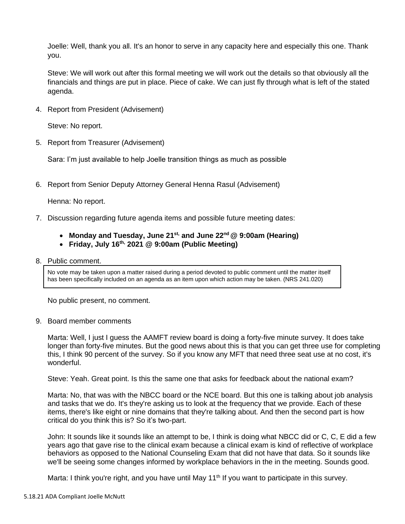Joelle: Well, thank you all. It's an honor to serve in any capacity here and especially this one. Thank you.

Steve: We will work out after this formal meeting we will work out the details so that obviously all the financials and things are put in place. Piece of cake. We can just fly through what is left of the stated agenda.

4. Report from President (Advisement)

Steve: No report.

5. Report from Treasurer (Advisement)

Sara: I'm just available to help Joelle transition things as much as possible

6. Report from Senior Deputy Attorney General Henna Rasul (Advisement)

Henna: No report.

- 7. Discussion regarding future agenda items and possible future meeting dates:
	- **Monday and Tuesday, June 21st, and June 22nd @ 9:00am (Hearing)**
	- **Friday, July 16th, 2021 @ 9:00am (Public Meeting)**
- 8. Public comment.

No vote may be taken upon a matter raised during a period devoted to public comment until the matter itself has been specifically included on an agenda as an item upon which action may be taken. (NRS 241.020)

No public present, no comment.

## 9. Board member comments

Marta: Well, I just I guess the AAMFT review board is doing a forty-five minute survey. It does take longer than forty-five minutes. But the good news about this is that you can get three use for completing this, I think 90 percent of the survey. So if you know any MFT that need three seat use at no cost, it's wonderful.

Steve: Yeah. Great point. Is this the same one that asks for feedback about the national exam?

Marta: No, that was with the NBCC board or the NCE board. But this one is talking about job analysis and tasks that we do. It's they're asking us to look at the frequency that we provide. Each of these items, there's like eight or nine domains that they're talking about. And then the second part is how critical do you think this is? So it's two-part.

John: It sounds like it sounds like an attempt to be, I think is doing what NBCC did or C, C, E did a few years ago that gave rise to the clinical exam because a clinical exam is kind of reflective of workplace behaviors as opposed to the National Counseling Exam that did not have that data. So it sounds like we'll be seeing some changes informed by workplace behaviors in the in the meeting. Sounds good.

Marta: I think you're right, and you have until May 11<sup>th</sup> If you want to participate in this survey.